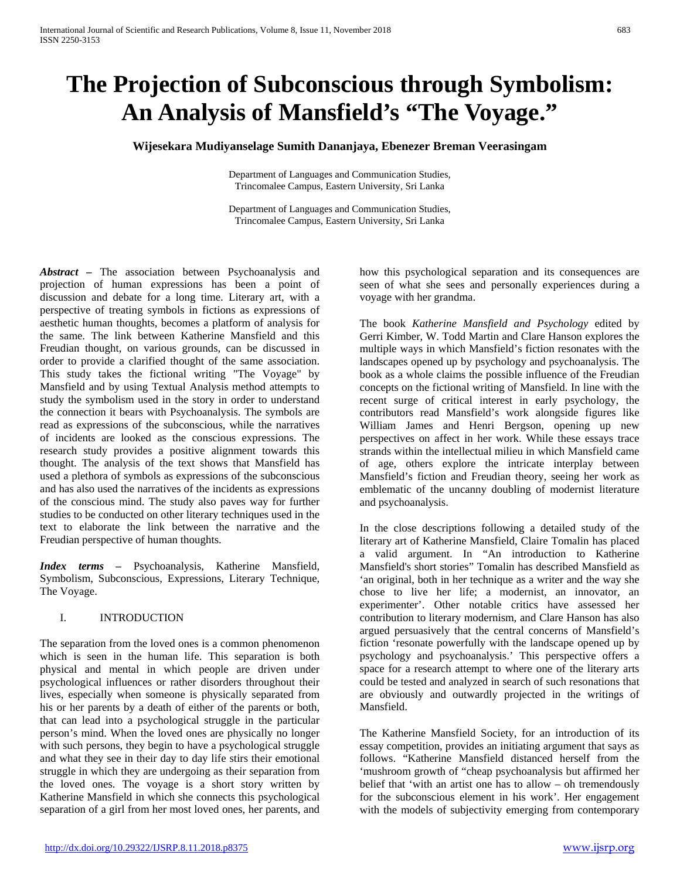# **The Projection of Subconscious through Symbolism: An Analysis of Mansfield's "The Voyage."**

**Wijesekara Mudiyanselage Sumith Dananjaya, Ebenezer Breman Veerasingam**

Department of Languages and Communication Studies, Trincomalee Campus, Eastern University, Sri Lanka

Department of Languages and Communication Studies, Trincomalee Campus, Eastern University, Sri Lanka

*Abstract –* The association between Psychoanalysis and projection of human expressions has been a point of discussion and debate for a long time. Literary art, with a perspective of treating symbols in fictions as expressions of aesthetic human thoughts, becomes a platform of analysis for the same. The link between Katherine Mansfield and this Freudian thought, on various grounds, can be discussed in order to provide a clarified thought of the same association. This study takes the fictional writing "The Voyage" by Mansfield and by using Textual Analysis method attempts to study the symbolism used in the story in order to understand the connection it bears with Psychoanalysis. The symbols are read as expressions of the subconscious, while the narratives of incidents are looked as the conscious expressions. The research study provides a positive alignment towards this thought. The analysis of the text shows that Mansfield has used a plethora of symbols as expressions of the subconscious and has also used the narratives of the incidents as expressions of the conscious mind. The study also paves way for further studies to be conducted on other literary techniques used in the text to elaborate the link between the narrative and the Freudian perspective of human thoughts.

*Index terms –* Psychoanalysis, Katherine Mansfield, Symbolism, Subconscious, Expressions, Literary Technique, The Voyage.

## I. INTRODUCTION

The separation from the loved ones is a common phenomenon which is seen in the human life. This separation is both physical and mental in which people are driven under psychological influences or rather disorders throughout their lives, especially when someone is physically separated from his or her parents by a death of either of the parents or both, that can lead into a psychological struggle in the particular person's mind. When the loved ones are physically no longer with such persons, they begin to have a psychological struggle and what they see in their day to day life stirs their emotional struggle in which they are undergoing as their separation from the loved ones. The voyage is a short story written by Katherine Mansfield in which she connects this psychological separation of a girl from her most loved ones, her parents, and how this psychological separation and its consequences are seen of what she sees and personally experiences during a voyage with her grandma.

The book *Katherine Mansfield and Psychology* edited by Gerri Kimber, W. Todd Martin and Clare Hanson explores the multiple ways in which Mansfield's fiction resonates with the landscapes opened up by psychology and psychoanalysis. The book as a whole claims the possible influence of the Freudian concepts on the fictional writing of Mansfield. In line with the recent surge of critical interest in early psychology, the contributors read Mansfield's work alongside figures like William James and Henri Bergson, opening up new perspectives on affect in her work. While these essays trace strands within the intellectual milieu in which Mansfield came of age, others explore the intricate interplay between Mansfield's fiction and Freudian theory, seeing her work as emblematic of the uncanny doubling of modernist literature and psychoanalysis.

In the close descriptions following a detailed study of the literary art of Katherine Mansfield, Claire Tomalin has placed a valid argument. In "An introduction to Katherine Mansfield's short stories" Tomalin has described Mansfield as 'an original, both in her technique as a writer and the way she chose to live her life; a modernist, an innovator, an experimenter'. Other notable critics have assessed her contribution to literary modernism, and Clare Hanson has also argued persuasively that the central concerns of Mansfield's fiction 'resonate powerfully with the landscape opened up by psychology and psychoanalysis.' This perspective offers a space for a research attempt to where one of the literary arts could be tested and analyzed in search of such resonations that are obviously and outwardly projected in the writings of Mansfield.

The Katherine Mansfield Society, for an introduction of its essay competition, provides an initiating argument that says as follows. "Katherine Mansfield distanced herself from the 'mushroom growth of "cheap psychoanalysis but affirmed her belief that 'with an artist one has to allow – oh tremendously for the subconscious element in his work'. Her engagement with the models of subjectivity emerging from contemporary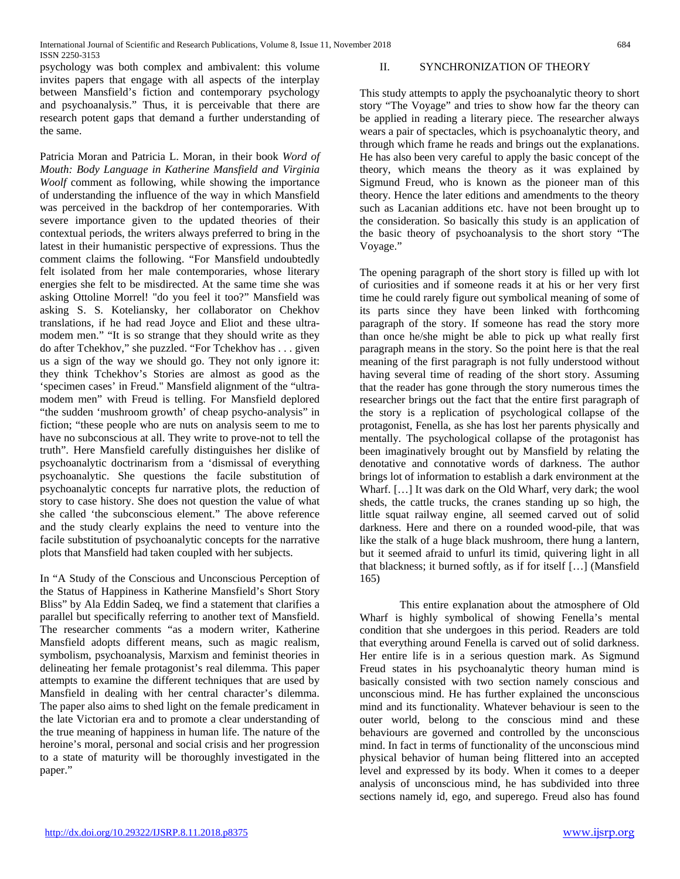psychology was both complex and ambivalent: this volume invites papers that engage with all aspects of the interplay between Mansfield's fiction and contemporary psychology and psychoanalysis." Thus, it is perceivable that there are research potent gaps that demand a further understanding of the same.

Patricia Moran and Patricia L. Moran, in their book *Word of Mouth: Body Language in Katherine Mansfield and Virginia Woolf* comment as following, while showing the importance of understanding the influence of the way in which Mansfield was perceived in the backdrop of her contemporaries. With severe importance given to the updated theories of their contextual periods, the writers always preferred to bring in the latest in their humanistic perspective of expressions. Thus the comment claims the following. "For Mansfield undoubtedly felt isolated from her male contemporaries, whose literary energies she felt to be misdirected. At the same time she was asking Ottoline Morrel! "do you feel it too?" Mansfield was asking S. S. Koteliansky, her collaborator on Chekhov translations, if he had read Joyce and Eliot and these ultramodem men." "It is so strange that they should write as they do after Tchekhov," she puzzled. "For Tchekhov has . . . given us a sign of the way we should go. They not only ignore it: they think Tchekhov's Stories are almost as good as the 'specimen cases' in Freud." Mansfield alignment of the "ultramodem men" with Freud is telling. For Mansfield deplored "the sudden 'mushroom growth' of cheap psycho-analysis" in fiction; "these people who are nuts on analysis seem to me to have no subconscious at all. They write to prove-not to tell the truth". Here Mansfield carefully distinguishes her dislike of psychoanalytic doctrinarism from a 'dismissal of everything psychoanalytic. She questions the facile substitution of psychoanalytic concepts fur narrative plots, the reduction of story to case history. She does not question the value of what she called 'the subconscious element." The above reference and the study clearly explains the need to venture into the facile substitution of psychoanalytic concepts for the narrative plots that Mansfield had taken coupled with her subjects.

In "A Study of the Conscious and Unconscious Perception of the Status of Happiness in Katherine Mansfield's Short Story Bliss" by Ala Eddin Sadeq, we find a statement that clarifies a parallel but specifically referring to another text of Mansfield. The researcher comments "as a modern writer, Katherine Mansfield adopts different means, such as magic realism, symbolism, psychoanalysis, Marxism and feminist theories in delineating her female protagonist's real dilemma. This paper attempts to examine the different techniques that are used by Mansfield in dealing with her central character's dilemma. The paper also aims to shed light on the female predicament in the late Victorian era and to promote a clear understanding of the true meaning of happiness in human life. The nature of the heroine's moral, personal and social crisis and her progression to a state of maturity will be thoroughly investigated in the paper."

#### II. SYNCHRONIZATION OF THEORY

This study attempts to apply the psychoanalytic theory to short story "The Voyage" and tries to show how far the theory can be applied in reading a literary piece. The researcher always wears a pair of spectacles, which is psychoanalytic theory, and through which frame he reads and brings out the explanations. He has also been very careful to apply the basic concept of the theory, which means the theory as it was explained by Sigmund Freud, who is known as the pioneer man of this theory. Hence the later editions and amendments to the theory such as Lacanian additions etc. have not been brought up to the consideration. So basically this study is an application of the basic theory of psychoanalysis to the short story "The Voyage."

The opening paragraph of the short story is filled up with lot of curiosities and if someone reads it at his or her very first time he could rarely figure out symbolical meaning of some of its parts since they have been linked with forthcoming paragraph of the story. If someone has read the story more than once he/she might be able to pick up what really first paragraph means in the story. So the point here is that the real meaning of the first paragraph is not fully understood without having several time of reading of the short story. Assuming that the reader has gone through the story numerous times the researcher brings out the fact that the entire first paragraph of the story is a replication of psychological collapse of the protagonist, Fenella, as she has lost her parents physically and mentally. The psychological collapse of the protagonist has been imaginatively brought out by Mansfield by relating the denotative and connotative words of darkness. The author brings lot of information to establish a dark environment at the Wharf. […] It was dark on the Old Wharf, very dark; the wool sheds, the cattle trucks, the cranes standing up so high, the little squat railway engine, all seemed carved out of solid darkness. Here and there on a rounded wood-pile, that was like the stalk of a huge black mushroom, there hung a lantern, but it seemed afraid to unfurl its timid, quivering light in all that blackness; it burned softly, as if for itself […] (Mansfield 165)

This entire explanation about the atmosphere of Old Wharf is highly symbolical of showing Fenella's mental condition that she undergoes in this period. Readers are told that everything around Fenella is carved out of solid darkness. Her entire life is in a serious question mark. As Sigmund Freud states in his psychoanalytic theory human mind is basically consisted with two section namely conscious and unconscious mind. He has further explained the unconscious mind and its functionality. Whatever behaviour is seen to the outer world, belong to the conscious mind and these behaviours are governed and controlled by the unconscious mind. In fact in terms of functionality of the unconscious mind physical behavior of human being flittered into an accepted level and expressed by its body. When it comes to a deeper analysis of unconscious mind, he has subdivided into three sections namely id, ego, and superego. Freud also has found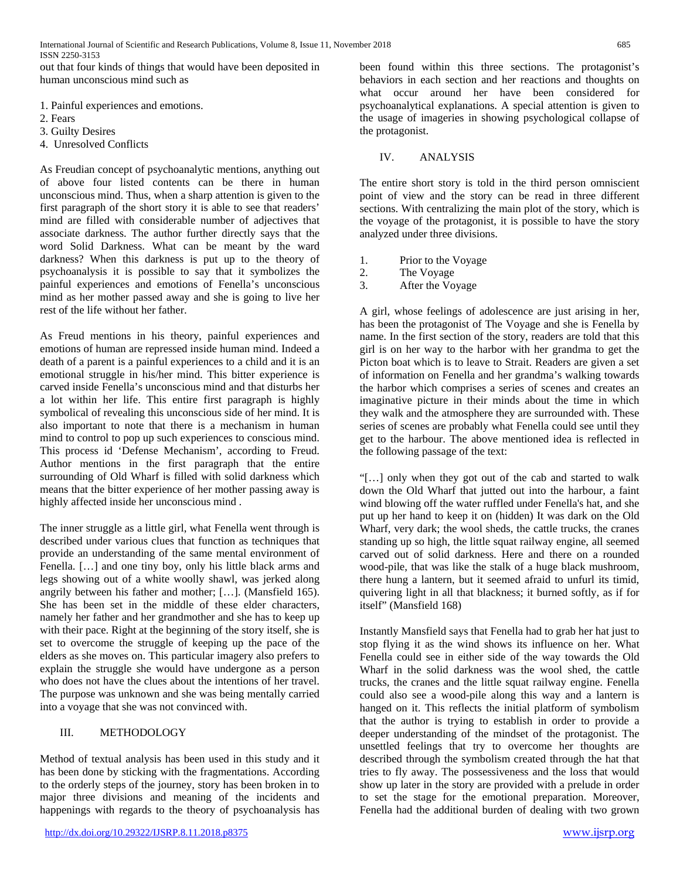out that four kinds of things that would have been deposited in human unconscious mind such as

1. Painful experiences and emotions.

- 2. Fears
- 3. Guilty Desires
- 4. Unresolved Conflicts

As Freudian concept of psychoanalytic mentions, anything out of above four listed contents can be there in human unconscious mind. Thus, when a sharp attention is given to the first paragraph of the short story it is able to see that readers' mind are filled with considerable number of adjectives that associate darkness. The author further directly says that the word Solid Darkness. What can be meant by the ward darkness? When this darkness is put up to the theory of psychoanalysis it is possible to say that it symbolizes the painful experiences and emotions of Fenella's unconscious mind as her mother passed away and she is going to live her rest of the life without her father.

As Freud mentions in his theory, painful experiences and emotions of human are repressed inside human mind. Indeed a death of a parent is a painful experiences to a child and it is an emotional struggle in his/her mind. This bitter experience is carved inside Fenella's unconscious mind and that disturbs her a lot within her life. This entire first paragraph is highly symbolical of revealing this unconscious side of her mind. It is also important to note that there is a mechanism in human mind to control to pop up such experiences to conscious mind. This process id 'Defense Mechanism', according to Freud. Author mentions in the first paragraph that the entire surrounding of Old Wharf is filled with solid darkness which means that the bitter experience of her mother passing away is highly affected inside her unconscious mind .

The inner struggle as a little girl, what Fenella went through is described under various clues that function as techniques that provide an understanding of the same mental environment of Fenella. […] and one tiny boy, only his little black arms and legs showing out of a white woolly shawl, was jerked along angrily between his father and mother; […]. (Mansfield 165). She has been set in the middle of these elder characters, namely her father and her grandmother and she has to keep up with their pace. Right at the beginning of the story itself, she is set to overcome the struggle of keeping up the pace of the elders as she moves on. This particular imagery also prefers to explain the struggle she would have undergone as a person who does not have the clues about the intentions of her travel. The purpose was unknown and she was being mentally carried into a voyage that she was not convinced with.

## III. METHODOLOGY

Method of textual analysis has been used in this study and it has been done by sticking with the fragmentations. According to the orderly steps of the journey, story has been broken in to major three divisions and meaning of the incidents and happenings with regards to the theory of psychoanalysis has

been found within this three sections. The protagonist's behaviors in each section and her reactions and thoughts on what occur around her have been considered for psychoanalytical explanations. A special attention is given to the usage of imageries in showing psychological collapse of the protagonist.

## IV. ANALYSIS

The entire short story is told in the third person omniscient point of view and the story can be read in three different sections. With centralizing the main plot of the story, which is the voyage of the protagonist, it is possible to have the story analyzed under three divisions.

- 1. Prior to the Voyage
- 2. The Voyage
- 3. After the Voyage

A girl, whose feelings of adolescence are just arising in her, has been the protagonist of The Voyage and she is Fenella by name. In the first section of the story, readers are told that this girl is on her way to the harbor with her grandma to get the Picton boat which is to leave to Strait. Readers are given a set of information on Fenella and her grandma's walking towards the harbor which comprises a series of scenes and creates an imaginative picture in their minds about the time in which they walk and the atmosphere they are surrounded with. These series of scenes are probably what Fenella could see until they get to the harbour. The above mentioned idea is reflected in the following passage of the text:

"[…] only when they got out of the cab and started to walk down the Old Wharf that jutted out into the harbour, a faint wind blowing off the water ruffled under Fenella's hat, and she put up her hand to keep it on (hidden) It was dark on the Old Wharf, very dark; the wool sheds, the cattle trucks, the cranes standing up so high, the little squat railway engine, all seemed carved out of solid darkness. Here and there on a rounded wood-pile, that was like the stalk of a huge black mushroom, there hung a lantern, but it seemed afraid to unfurl its timid, quivering light in all that blackness; it burned softly, as if for itself" (Mansfield 168)

Instantly Mansfield says that Fenella had to grab her hat just to stop flying it as the wind shows its influence on her. What Fenella could see in either side of the way towards the Old Wharf in the solid darkness was the wool shed, the cattle trucks, the cranes and the little squat railway engine. Fenella could also see a wood-pile along this way and a lantern is hanged on it. This reflects the initial platform of symbolism that the author is trying to establish in order to provide a deeper understanding of the mindset of the protagonist. The unsettled feelings that try to overcome her thoughts are described through the symbolism created through the hat that tries to fly away. The possessiveness and the loss that would show up later in the story are provided with a prelude in order to set the stage for the emotional preparation. Moreover, Fenella had the additional burden of dealing with two grown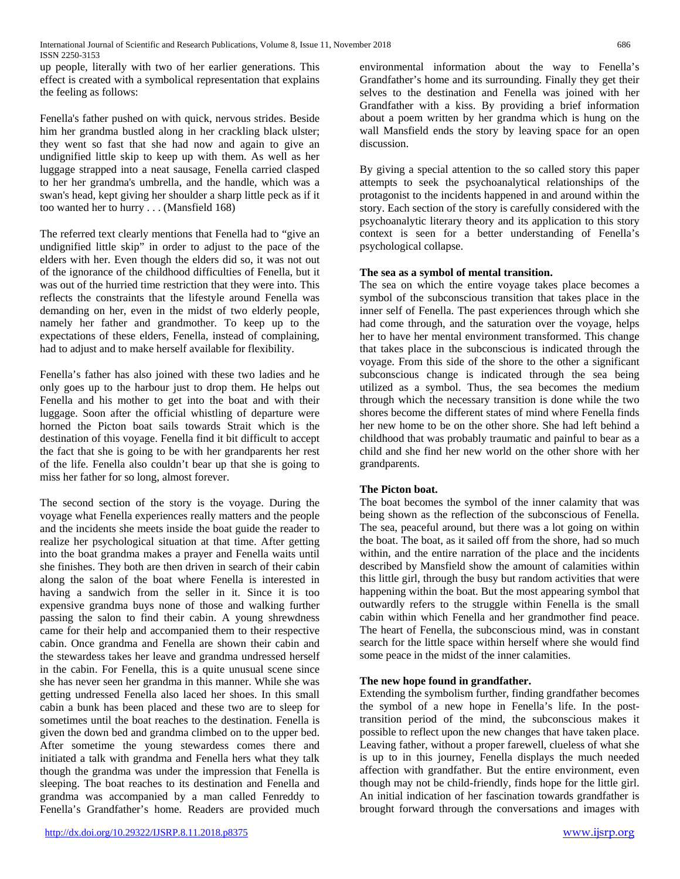up people, literally with two of her earlier generations. This effect is created with a symbolical representation that explains the feeling as follows:

Fenella's father pushed on with quick, nervous strides. Beside him her grandma bustled along in her crackling black ulster; they went so fast that she had now and again to give an undignified little skip to keep up with them. As well as her luggage strapped into a neat sausage, Fenella carried clasped to her her grandma's umbrella, and the handle, which was a swan's head, kept giving her shoulder a sharp little peck as if it too wanted her to hurry . . . (Mansfield 168)

The referred text clearly mentions that Fenella had to "give an undignified little skip" in order to adjust to the pace of the elders with her. Even though the elders did so, it was not out of the ignorance of the childhood difficulties of Fenella, but it was out of the hurried time restriction that they were into. This reflects the constraints that the lifestyle around Fenella was demanding on her, even in the midst of two elderly people, namely her father and grandmother. To keep up to the expectations of these elders, Fenella, instead of complaining, had to adjust and to make herself available for flexibility.

Fenella's father has also joined with these two ladies and he only goes up to the harbour just to drop them. He helps out Fenella and his mother to get into the boat and with their luggage. Soon after the official whistling of departure were horned the Picton boat sails towards Strait which is the destination of this voyage. Fenella find it bit difficult to accept the fact that she is going to be with her grandparents her rest of the life. Fenella also couldn't bear up that she is going to miss her father for so long, almost forever.

The second section of the story is the voyage. During the voyage what Fenella experiences really matters and the people and the incidents she meets inside the boat guide the reader to realize her psychological situation at that time. After getting into the boat grandma makes a prayer and Fenella waits until she finishes. They both are then driven in search of their cabin along the salon of the boat where Fenella is interested in having a sandwich from the seller in it. Since it is too expensive grandma buys none of those and walking further passing the salon to find their cabin. A young shrewdness came for their help and accompanied them to their respective cabin. Once grandma and Fenella are shown their cabin and the stewardess takes her leave and grandma undressed herself in the cabin. For Fenella, this is a quite unusual scene since she has never seen her grandma in this manner. While she was getting undressed Fenella also laced her shoes. In this small cabin a bunk has been placed and these two are to sleep for sometimes until the boat reaches to the destination. Fenella is given the down bed and grandma climbed on to the upper bed. After sometime the young stewardess comes there and initiated a talk with grandma and Fenella hers what they talk though the grandma was under the impression that Fenella is sleeping. The boat reaches to its destination and Fenella and grandma was accompanied by a man called Fenreddy to Fenella's Grandfather's home. Readers are provided much

<http://dx.doi.org/10.29322/IJSRP.8.11.2018.p8375> [www.ijsrp.org](http://ijsrp.org/)

environmental information about the way to Fenella's Grandfather's home and its surrounding. Finally they get their selves to the destination and Fenella was joined with her Grandfather with a kiss. By providing a brief information about a poem written by her grandma which is hung on the wall Mansfield ends the story by leaving space for an open discussion.

By giving a special attention to the so called story this paper attempts to seek the psychoanalytical relationships of the protagonist to the incidents happened in and around within the story. Each section of the story is carefully considered with the psychoanalytic literary theory and its application to this story context is seen for a better understanding of Fenella's psychological collapse.

#### **The sea as a symbol of mental transition.**

The sea on which the entire voyage takes place becomes a symbol of the subconscious transition that takes place in the inner self of Fenella. The past experiences through which she had come through, and the saturation over the voyage, helps her to have her mental environment transformed. This change that takes place in the subconscious is indicated through the voyage. From this side of the shore to the other a significant subconscious change is indicated through the sea being utilized as a symbol. Thus, the sea becomes the medium through which the necessary transition is done while the two shores become the different states of mind where Fenella finds her new home to be on the other shore. She had left behind a childhood that was probably traumatic and painful to bear as a child and she find her new world on the other shore with her grandparents.

## **The Picton boat.**

The boat becomes the symbol of the inner calamity that was being shown as the reflection of the subconscious of Fenella. The sea, peaceful around, but there was a lot going on within the boat. The boat, as it sailed off from the shore, had so much within, and the entire narration of the place and the incidents described by Mansfield show the amount of calamities within this little girl, through the busy but random activities that were happening within the boat. But the most appearing symbol that outwardly refers to the struggle within Fenella is the small cabin within which Fenella and her grandmother find peace. The heart of Fenella, the subconscious mind, was in constant search for the little space within herself where she would find some peace in the midst of the inner calamities.

## **The new hope found in grandfather.**

Extending the symbolism further, finding grandfather becomes the symbol of a new hope in Fenella's life. In the posttransition period of the mind, the subconscious makes it possible to reflect upon the new changes that have taken place. Leaving father, without a proper farewell, clueless of what she is up to in this journey, Fenella displays the much needed affection with grandfather. But the entire environment, even though may not be child-friendly, finds hope for the little girl. An initial indication of her fascination towards grandfather is brought forward through the conversations and images with